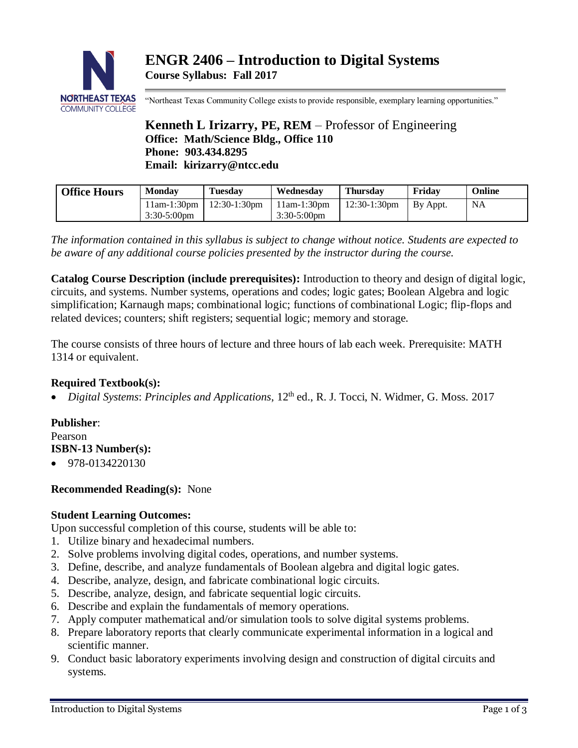

"Northeast Texas Community College exists to provide responsible, exemplary learning opportunities."

# **Kenneth L Irizarry, PE, REM** – Professor of Engineering **Office: Math/Science Bldg., Office 110 Phone: 903.434.8295 Email: kirizarry@ntcc.edu**

| <b>Office Hours</b> | <b>Monday</b>                   | Tuesdav         | Wednesdav                       | <b>Thursday</b> | Fridav   | Online    |
|---------------------|---------------------------------|-----------------|---------------------------------|-----------------|----------|-----------|
|                     | $11am-1:30pm$<br>$3:30-5:00$ pm | $12:30-1:30$ pm | $11am-1:30pm$<br>$3:30-5:00$ pm | $12:30-1:30$ pm | By Appt. | <b>NA</b> |

*The information contained in this syllabus is subject to change without notice. Students are expected to be aware of any additional course policies presented by the instructor during the course.*

**Catalog Course Description (include prerequisites):** Introduction to theory and design of digital logic, circuits, and systems. Number systems, operations and codes; logic gates; Boolean Algebra and logic simplification; Karnaugh maps; combinational logic; functions of combinational Logic; flip-flops and related devices; counters; shift registers; sequential logic; memory and storage.

The course consists of three hours of lecture and three hours of lab each week. Prerequisite: MATH 1314 or equivalent.

## **Required Textbook(s):**

• *Digital Systems*: *Principles and Applications*, 12 th ed., R. J. Tocci, N. Widmer, G. Moss. 2017

## **Publisher**:

Pearson

- **ISBN-13 Number(s):**
- 978-0134220130

## **Recommended Reading(s):** None

## **Student Learning Outcomes:**

Upon successful completion of this course, students will be able to:

- 1. Utilize binary and hexadecimal numbers.
- 2. Solve problems involving digital codes, operations, and number systems.
- 3. Define, describe, and analyze fundamentals of Boolean algebra and digital logic gates.
- 4. Describe, analyze, design, and fabricate combinational logic circuits.
- 5. Describe, analyze, design, and fabricate sequential logic circuits.
- 6. Describe and explain the fundamentals of memory operations.
- 7. Apply computer mathematical and/or simulation tools to solve digital systems problems.
- 8. Prepare laboratory reports that clearly communicate experimental information in a logical and scientific manner.
- 9. Conduct basic laboratory experiments involving design and construction of digital circuits and systems.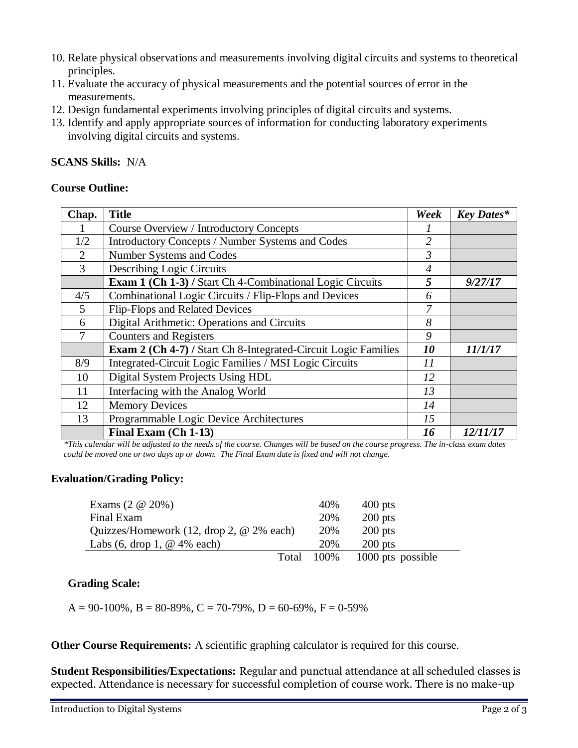- 10. Relate physical observations and measurements involving digital circuits and systems to theoretical principles.
- 11. Evaluate the accuracy of physical measurements and the potential sources of error in the measurements.
- 12. Design fundamental experiments involving principles of digital circuits and systems.
- 13. Identify and apply appropriate sources of information for conducting laboratory experiments involving digital circuits and systems.

### **SCANS Skills:** N/A

#### **Course Outline:**

| Chap. | <b>Title</b>                                                   | Week           | <b>Key Dates*</b> |
|-------|----------------------------------------------------------------|----------------|-------------------|
|       | Course Overview / Introductory Concepts                        |                |                   |
| 1/2   | Introductory Concepts / Number Systems and Codes               | 2              |                   |
| 2     | Number Systems and Codes                                       | $\mathfrak{Z}$ |                   |
| 3     | <b>Describing Logic Circuits</b>                               | $\overline{4}$ |                   |
|       | Exam 1 (Ch 1-3) / Start Ch 4-Combinational Logic Circuits      | 5              | 9/27/17           |
| 4/5   | Combinational Logic Circuits / Flip-Flops and Devices          | 6              |                   |
| 5     | Flip-Flops and Related Devices                                 | 7              |                   |
| 6     | Digital Arithmetic: Operations and Circuits                    | 8              |                   |
| 7     | <b>Counters and Registers</b>                                  | 9              |                   |
|       | Exam 2 (Ch 4-7) / Start Ch 8-Integrated-Circuit Logic Families | 10             | 11/1/17           |
| 8/9   | Integrated-Circuit Logic Families / MSI Logic Circuits         | 11             |                   |
| 10    | Digital System Projects Using HDL                              | 12             |                   |
| 11    | Interfacing with the Analog World                              | 13             |                   |
| 12    | <b>Memory Devices</b>                                          | 14             |                   |
| 13    | Programmable Logic Device Architectures                        | 15             |                   |
|       | Final Exam (Ch 1-13)                                           | 16             | 12/11/17          |

*\*This calendar will be adjusted to the needs of the course. Changes will be based on the course progress. The in-class exam dates could be moved one or two days up or down. The Final Exam date is fixed and will not change.*

## **Evaluation/Grading Policy:**

| Exams $(2 \t@ 20\%)$                                                | 40%  | $400$ pts         |
|---------------------------------------------------------------------|------|-------------------|
| Final Exam                                                          | 20%  | $200$ pts         |
| Quizzes/Homework $(12, \text{drop } 2, \text{@ } 2\% \text{ each})$ | 20%  | $200$ pts         |
| Labs $(6, drop 1, @ 4\% each)$                                      | 20%  | $200$ pts         |
| Total                                                               | 100% | 1000 pts possible |

#### **Grading Scale:**

 $A = 90-100\%$ ,  $B = 80-89\%$ ,  $C = 70-79\%$ ,  $D = 60-69\%$ ,  $F = 0-59\%$ 

**Other Course Requirements:** A scientific graphing calculator is required for this course.

**Student Responsibilities/Expectations:** Regular and punctual attendance at all scheduled classes is expected. Attendance is necessary for successful completion of course work. There is no make-up